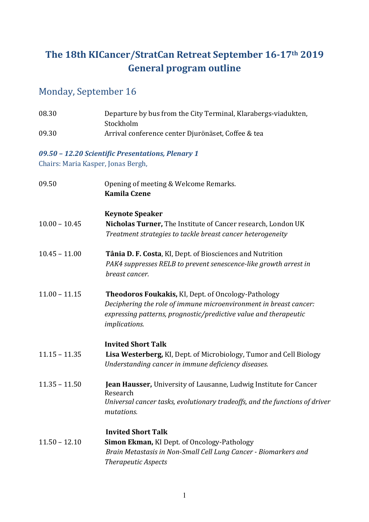# **The 18th KICancer/StratCan Retreat September 16-17th 2019 General program outline**

## Monday, September 16

| 08.30                              | Departure by bus from the City Terminal, Klarabergs-viadukten,<br>Stockholm                                                                                                                                          |
|------------------------------------|----------------------------------------------------------------------------------------------------------------------------------------------------------------------------------------------------------------------|
| 09.30                              | Arrival conference center Djurönäset, Coffee & tea                                                                                                                                                                   |
|                                    | 09.50 - 12.20 Scientific Presentations, Plenary 1                                                                                                                                                                    |
| Chairs: Maria Kasper, Jonas Bergh, |                                                                                                                                                                                                                      |
| 09.50                              | Opening of meeting & Welcome Remarks.<br><b>Kamila Czene</b>                                                                                                                                                         |
|                                    | <b>Keynote Speaker</b>                                                                                                                                                                                               |
| $10.00 - 10.45$                    | Nicholas Turner, The Institute of Cancer research, London UK<br>Treatment strategies to tackle breast cancer heterogeneity                                                                                           |
| $10.45 - 11.00$                    | Tânia D. F. Costa, KI, Dept. of Biosciences and Nutrition<br>PAK4 suppresses RELB to prevent senescence-like growth arrest in<br>breast cancer.                                                                      |
| $11.00 - 11.15$                    | Theodoros Foukakis, KI, Dept. of Oncology-Pathology<br>Deciphering the role of immune microenvironment in breast cancer:<br>expressing patterns, prognostic/predictive value and therapeutic<br><i>implications.</i> |
|                                    | <b>Invited Short Talk</b>                                                                                                                                                                                            |
| $11.15 - 11.35$                    | Lisa Westerberg, KI, Dept. of Microbiology, Tumor and Cell Biology<br>Understanding cancer in immune deficiency diseases.                                                                                            |
| $11.35 - 11.50$                    | Jean Hausser, University of Lausanne, Ludwig Institute for Cancer<br>Research<br>Universal cancer tasks, evolutionary tradeoffs, and the functions of driver<br>mutations.                                           |
| $11.50 - 12.10$                    | <b>Invited Short Talk</b><br><b>Simon Ekman, KI Dept. of Oncology-Pathology</b><br>Brain Metastasis in Non-Small Cell Lung Cancer - Biomarkers and<br><b>Therapeutic Aspects</b>                                     |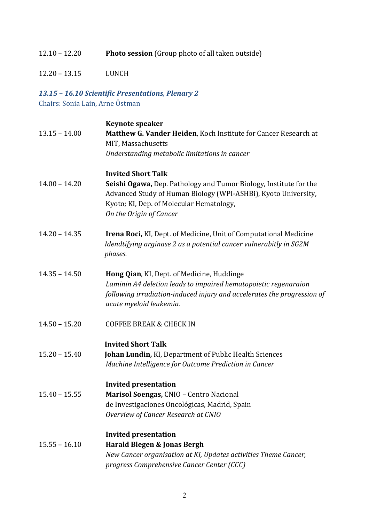#### 12.10 – 12.20 **Photo session** (Group photo of all taken outside)

12.20 – 13.15 LUNCH

# *13.15 – 16.10 Scientific Presentations, Plenary 2*

Chairs: Sonia Lain, Arne Östman

|                 | <b>Keynote speaker</b>                                                                                                                                                                                              |
|-----------------|---------------------------------------------------------------------------------------------------------------------------------------------------------------------------------------------------------------------|
| $13.15 - 14.00$ | Matthew G. Vander Heiden, Koch Institute for Cancer Research at<br>MIT, Massachusetts                                                                                                                               |
|                 | Understanding metabolic limitations in cancer                                                                                                                                                                       |
|                 | <b>Invited Short Talk</b>                                                                                                                                                                                           |
| $14.00 - 14.20$ | Seishi Ogawa, Dep. Pathology and Tumor Biology, Institute for the<br>Advanced Study of Human Biology (WPI-ASHBi), Kyoto University,<br>Kyoto; KI, Dep. of Molecular Hematology,<br>On the Origin of Cancer          |
| $14.20 - 14.35$ | <b>Irena Roci, KI, Dept. of Medicine, Unit of Computational Medicine</b><br>Idendtifying arginase 2 as a potential cancer vulnerabitly in SG2M<br>phases.                                                           |
| $14.35 - 14.50$ | Hong Qian, KI, Dept. of Medicine, Huddinge<br>Laminin A4 deletion leads to impaired hematopoietic regenaraion<br>following irradiation-induced injury and accelerates the progression of<br>acute myeloid leukemia. |
| $14.50 - 15.20$ | <b>COFFEE BREAK &amp; CHECK IN</b>                                                                                                                                                                                  |
|                 | <b>Invited Short Talk</b>                                                                                                                                                                                           |
| $15.20 - 15.40$ | Johan Lundin, KI, Department of Public Health Sciences<br>Machine Intelligence for Outcome Prediction in Cancer                                                                                                     |
|                 | <b>Invited presentation</b>                                                                                                                                                                                         |
| $15.40 - 15.55$ | Marisol Soengas, CNIO - Centro Nacional                                                                                                                                                                             |
|                 | de Investigaciones Oncológicas, Madrid, Spain                                                                                                                                                                       |
|                 | Overview of Cancer Research at CNIO                                                                                                                                                                                 |
|                 | <b>Invited presentation</b>                                                                                                                                                                                         |
| $15.55 - 16.10$ | Harald Blegen & Jonas Bergh                                                                                                                                                                                         |
|                 | New Cancer organisation at KI, Updates activities Theme Cancer,                                                                                                                                                     |
|                 | progress Comprehensive Cancer Center (CCC)                                                                                                                                                                          |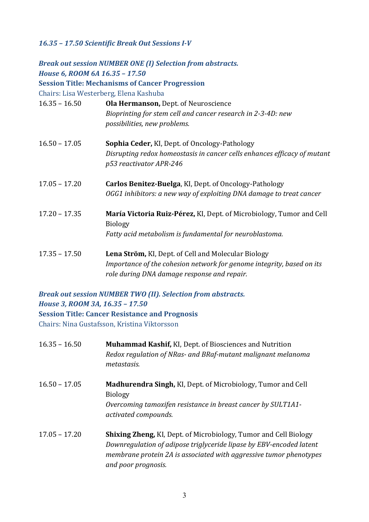#### *16.35 – 17.50 Scientific Break Out Sessions I-V*

| House 6, ROOM 6A 16.35 - 17.50<br>Chairs: Lisa Westerberg, Elena Kashuba | <b>Break out session NUMBER ONE (I) Selection from abstracts.</b><br><b>Session Title: Mechanisms of Cancer Progression</b>                                                 |
|--------------------------------------------------------------------------|-----------------------------------------------------------------------------------------------------------------------------------------------------------------------------|
| $16.35 - 16.50$                                                          | Ola Hermanson, Dept. of Neuroscience<br>Bioprinting for stem cell and cancer research in 2-3-4D: new<br>possibilities, new problems.                                        |
| $16.50 - 17.05$                                                          | <b>Sophia Ceder, KI, Dept. of Oncology-Pathology</b><br>Disrupting redox homeostasis in cancer cells enhances efficacy of mutant<br>p53 reactivator APR-246                 |
| $17.05 - 17.20$                                                          | Carlos Benitez-Buelga, KI, Dept. of Oncology-Pathology<br>OGG1 inhibitors: a new way of exploiting DNA damage to treat cancer                                               |
| $17.20 - 17.35$                                                          | María Victoria Ruiz-Pérez, KI, Dept. of Microbiology, Tumor and Cell<br><b>Biology</b><br>Fatty acid metabolism is fundamental for neuroblastoma.                           |
| $17.35 - 17.50$                                                          | Lena Ström, KI, Dept. of Cell and Molecular Biology<br>Importance of the cohesion network for genome integrity, based on its<br>role during DNA damage response and repair. |

*Break out session NUMBER TWO (II). Selection from abstracts. House 3, ROOM 3A, 16.35 – 17.50* **Session Title: Cancer Resistance and Prognosis**

Chairs: Nina Gustafsson, Kristina Viktorsson

| $16.35 - 16.50$ | <b>Muhammad Kashif, KI, Dept. of Biosciences and Nutrition</b><br>Redox regulation of NRas- and BRaf-mutant malignant melanoma<br>metastasis.                                                                                               |
|-----------------|---------------------------------------------------------------------------------------------------------------------------------------------------------------------------------------------------------------------------------------------|
| $16.50 - 17.05$ | <b>Madhurendra Singh, KI, Dept. of Microbiology, Tumor and Cell</b><br><b>Biology</b><br>Overcoming tamoxifen resistance in breast cancer by SULT1A1-<br>activated compounds.                                                               |
| $17.05 - 17.20$ | <b>Shixing Zheng, KI, Dept. of Microbiology, Tumor and Cell Biology</b><br>Downregulation of adipose triglyceride lipase by EBV-encoded latent<br>membrane protein 2A is associated with aggressive tumor phenotypes<br>and poor prognosis. |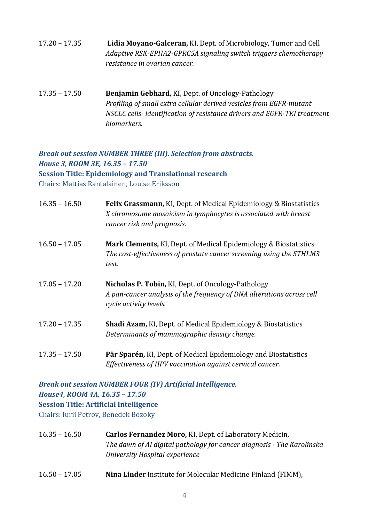- 17.20 17.35 **Lidia Moyano-Galceran,** KI, Dept. of Microbiology, Tumor and Cell *Adaptive RSK-EPHA2-GPRC5A signaling switch triggers chemotherapy resistance in ovarian cancer.*
- 17.35 17.50 **Benjamin Gebhard,** KI, Dept. of Oncology-Pathology *Profiling of small extra cellular derived vesicles from EGFR-mutant NSCLC cells- identification of resistance drivers and EGFR-TKI treatment biomarkers.*

#### *Break out session NUMBER THREE (III). Selection from abstracts. House 3, ROOM 3E, 16.35 – 17.50* **Session Title: Epidemiology and Translational research** Chairs: Mattias Rantalainen, Louise Eriksson

| $16.35 - 16.50$ | Felix Grassmann, KI, Dept. of Medical Epidemiology & Biostatistics<br>X chromosome mosaicism in lymphocytes is associated with breast<br>cancer risk and prognosis. |
|-----------------|---------------------------------------------------------------------------------------------------------------------------------------------------------------------|
| $16.50 - 17.05$ | Mark Clements, KI, Dept. of Medical Epidemiology & Biostatistics<br>The cost-effectiveness of prostate cancer screening using the STHLM3<br>test.                   |
| $17.05 - 17.20$ | Nicholas P. Tobin, KI, Dept. of Oncology-Pathology<br>A pan-cancer analysis of the frequency of DNA alterations across cell<br>cycle activity levels.               |
| $17.20 - 17.35$ | <b>Shadi Azam, KI, Dept. of Medical Epidemiology &amp; Biostatistics</b><br>Determinants of mammographic density change.                                            |
| $17.35 - 17.50$ | Pär Sparén, KI, Dept. of Medical Epidemiology and Biostatistics<br>Effectiveness of HPV vaccination against cervical cancer.                                        |

*Break out session NUMBER FOUR (IV) Artificial Intelligence. House4, ROOM 4A, 16.35 – 17.50* **Session Title: Artificial Intelligence**

Chairs: Iurii Petrov, Benedek Bozoky

- 16.35 16.50 **Carlos Fernandez Moro,** KI, Dept. of Laboratory Medicin, *The dawn of AI digital pathology for cancer diagnosis - The Karolinska University Hospital experience*
- 16.50 17.05 **Nina Linder** Institute for Molecular Medicine Finland (FIMM),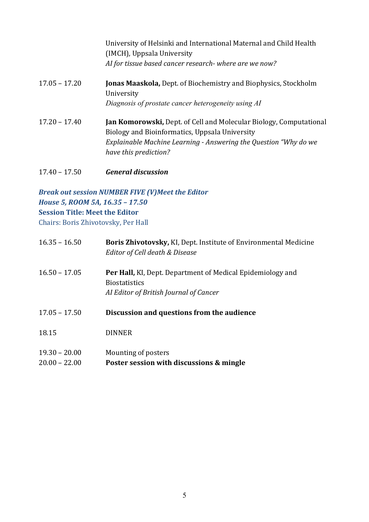|                 | University of Helsinki and International Maternal and Child Health<br>(IMCH), Uppsala University<br>AI for tissue based cancer research- where are we now? |
|-----------------|------------------------------------------------------------------------------------------------------------------------------------------------------------|
| $17.05 - 17.20$ | <b>Jonas Maaskola, Dept. of Biochemistry and Biophysics, Stockholm</b><br>University<br>Diagnosis of prostate cancer heterogeneity using AI                |
|                 |                                                                                                                                                            |
| $17.20 - 17.40$ | <b>Jan Komorowski, Dept. of Cell and Molecular Biology, Computational</b><br>Biology and Bioinformatics, Uppsala University                                |
|                 | Explainable Machine Learning - Answering the Question "Why do we                                                                                           |
|                 | have this prediction?                                                                                                                                      |

17.40 – 17.50 *General discussion*

#### *Break out session NUMBER FIVE (V)Meet the Editor House 5, ROOM 5A, 16.35 – 17.50* **Session Title: Meet the Editor** Chairs: Boris Zhivotovsky, Per Hall

| $16.35 - 16.50$                    | Boris Zhivotovsky, KI, Dept. Institute of Environmental Medicine<br>Editor of Cell death & Disease                                  |
|------------------------------------|-------------------------------------------------------------------------------------------------------------------------------------|
| $16.50 - 17.05$                    | <b>Per Hall, KI, Dept. Department of Medical Epidemiology and</b><br><b>Biostatistics</b><br>Al Editor of British Journal of Cancer |
| $17.05 - 17.50$                    | Discussion and questions from the audience                                                                                          |
| 18.15                              | <b>DINNER</b>                                                                                                                       |
| $19.30 - 20.00$<br>$20.00 - 22.00$ | Mounting of posters<br>Poster session with discussions & mingle                                                                     |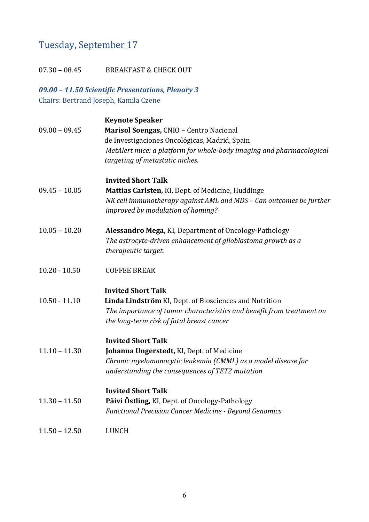## Tuesday, September 17

07.30 - 08.45 BREAKFAST & CHECK OUT

#### *09.00 – 11.50 Scientific Presentations, Plenary 3* Chairs: Bertrand Joseph, Kamila Czene

|                 | <b>Keynote Speaker</b>                                                |
|-----------------|-----------------------------------------------------------------------|
| $09.00 - 09.45$ | Marisol Soengas, CNIO - Centro Nacional                               |
|                 | de Investigaciones Oncológicas, Madrid, Spain                         |
|                 | MetAlert mice: a platform for whole-body imaging and pharmacological  |
|                 | targeting of metastatic niches.                                       |
|                 | <b>Invited Short Talk</b>                                             |
| $09.45 - 10.05$ | Mattias Carlsten, KI, Dept. of Medicine, Huddinge                     |
|                 | NK cell immunotherapy against AML and MDS - Can outcomes be further   |
|                 | improved by modulation of homing?                                     |
| $10.05 - 10.20$ | Alessandro Mega, KI, Department of Oncology-Pathology                 |
|                 | The astrocyte-driven enhancement of glioblastoma growth as a          |
|                 | therapeutic target.                                                   |
| $10.20 - 10.50$ | <b>COFFEE BREAK</b>                                                   |
|                 | <b>Invited Short Talk</b>                                             |
| $10.50 - 11.10$ | Linda Lindström KI, Dept. of Biosciences and Nutrition                |
|                 | The importance of tumor characteristics and benefit from treatment on |
|                 | the long-term risk of fatal breast cancer                             |
|                 | <b>Invited Short Talk</b>                                             |
| $11.10 - 11.30$ | Johanna Ungerstedt, KI, Dept. of Medicine                             |
|                 | Chronic myelomonocytic leukemia (CMML) as a model disease for         |
|                 | understanding the consequences of TET2 mutation                       |
|                 | <b>Invited Short Talk</b>                                             |
| $11.30 - 11.50$ | Päivi Östling, KI, Dept. of Oncology-Pathology                        |
|                 | <b>Functional Precision Cancer Medicine - Beyond Genomics</b>         |
| $11.50 - 12.50$ | <b>LUNCH</b>                                                          |
|                 |                                                                       |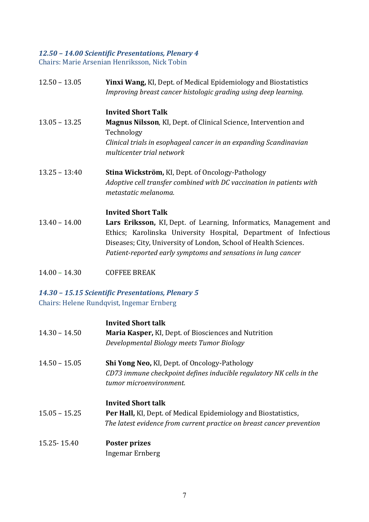### *12.50 – 14.00 Scientific Presentations, Plenary 4*

Chairs: Marie Arsenian Henriksson, Nick Tobin

| $12.50 - 13.05$ | Yinxi Wang, KI, Dept. of Medical Epidemiology and Biostatistics<br>Improving breast cancer histologic grading using deep learning. |
|-----------------|------------------------------------------------------------------------------------------------------------------------------------|
|                 | <b>Invited Short Talk</b>                                                                                                          |
| $13.05 - 13.25$ | Magnus Nilsson, KI, Dept. of Clinical Science, Intervention and<br>Technology                                                      |
|                 | Clinical trials in esophageal cancer in an expanding Scandinavian<br>multicenter trial network                                     |
| $13.25 - 13:40$ | <b>Stina Wickström, KI, Dept. of Oncology-Pathology</b>                                                                            |
|                 | Adoptive cell transfer combined with DC vaccination in patients with<br>metastatic melanoma.                                       |
|                 | <b>Invited Short Talk</b>                                                                                                          |
| $13.40 - 14.00$ | Lars Eriksson, KI, Dept. of Learning, Informatics, Management and                                                                  |
|                 | Ethics; Karolinska University Hospital, Department of Infectious                                                                   |
|                 | Diseases; City, University of London, School of Health Sciences.                                                                   |
|                 | Patient-reported early symptoms and sensations in lung cancer                                                                      |
|                 |                                                                                                                                    |

14.00 – 14.30 COFFEE BREAK

## *14.30 – 15.15 Scientific Presentations, Plenary 5*

Chairs: Helene Rundqvist, Ingemar Ernberg

| $14.30 - 14.50$ | <b>Invited Short talk</b><br>Maria Kasper, KI, Dept. of Biosciences and Nutrition<br>Developmental Biology meets Tumor Biology                                              |
|-----------------|-----------------------------------------------------------------------------------------------------------------------------------------------------------------------------|
| $14.50 - 15.05$ | <b>Shi Yong Neo, KI, Dept. of Oncology-Pathology</b><br>CD73 immune checkpoint defines inducible regulatory NK cells in the<br>tumor microenvironment.                      |
| $15.05 - 15.25$ | <b>Invited Short talk</b><br><b>Per Hall, KI, Dept. of Medical Epidemiology and Biostatistics,</b><br>The latest evidence from current practice on breast cancer prevention |
| 15.25 - 15.40   | Poster prizes<br>Ingemar Ernberg                                                                                                                                            |